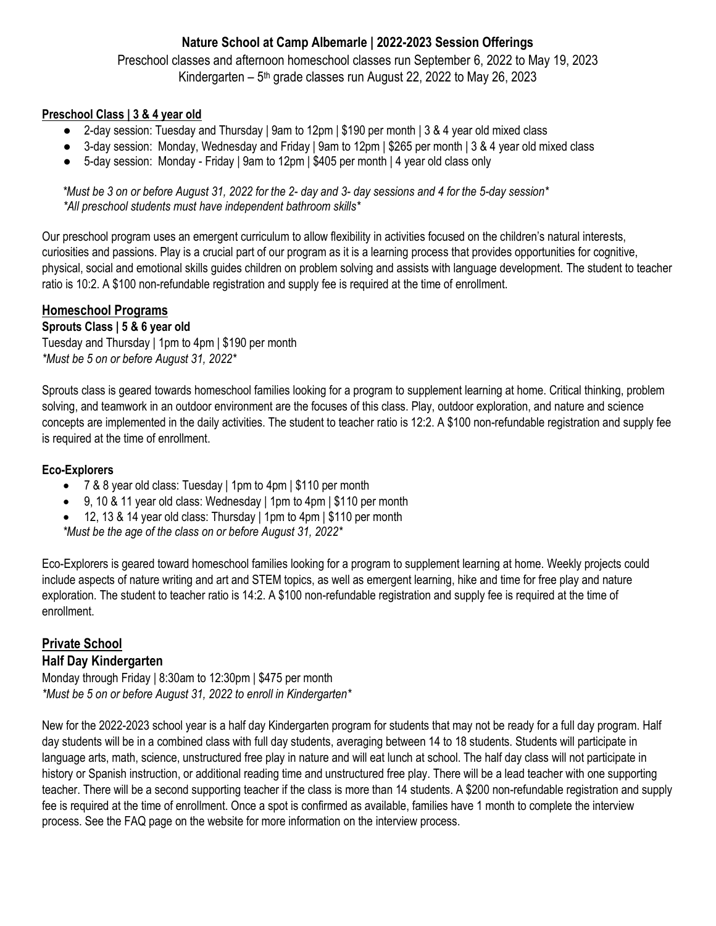# **Nature School at Camp Albemarle | 2022-2023 Session Offerings**

Preschool classes and afternoon homeschool classes run September 6, 2022 to May 19, 2023 Kindergarten – 5<sup>th</sup> grade classes run August 22, 2022 to May 26, 2023

#### **Preschool Class | 3 & 4 year old**

- 2-day session: Tuesday and Thursday | 9am to 12pm | \$190 per month | 3 & 4 year old mixed class
- 3-day session: Monday, Wednesday and Friday | 9am to 12pm | \$265 per month | 3 & 4 year old mixed class
- 5-day session: Monday Friday | 9am to 12pm | \$405 per month | 4 year old class only

 *\*Must be 3 on or before August 31, 2022 for the 2- day and 3- day sessions and 4 for the 5-day session\* \*All preschool students must have independent bathroom skills\**

Our preschool program uses an emergent curriculum to allow flexibility in activities focused on the children's natural interests, curiosities and passions. Play is a crucial part of our program as it is a learning process that provides opportunities for cognitive, physical, social and emotional skills guides children on problem solving and assists with language development. The student to teacher ratio is 10:2. A \$100 non-refundable registration and supply fee is required at the time of enrollment.

# **Homeschool Programs**

**Sprouts Class | 5 & 6 year old** Tuesday and Thursday | 1pm to 4pm | \$190 per month *\*Must be 5 on or before August 31, 2022\**

Sprouts class is geared towards homeschool families looking for a program to supplement learning at home. Critical thinking, problem solving, and teamwork in an outdoor environment are the focuses of this class. Play, outdoor exploration, and nature and science concepts are implemented in the daily activities. The student to teacher ratio is 12:2. A \$100 non-refundable registration and supply fee is required at the time of enrollment.

## **Eco-Explorers**

- 7 & 8 year old class: Tuesday | 1pm to 4pm | \$110 per month
- 9, 10 & 11 year old class: Wednesday | 1pm to 4pm | \$110 per month
- 12, 13 & 14 year old class: Thursday | 1pm to 4pm | \$110 per month

 *\*Must be the age of the class on or before August 31, 2022\**

Eco-Explorers is geared toward homeschool families looking for a program to supplement learning at home. Weekly projects could include aspects of nature writing and art and STEM topics, as well as emergent learning, hike and time for free play and nature exploration. The student to teacher ratio is 14:2. A \$100 non-refundable registration and supply fee is required at the time of enrollment.

# **Private School**

### **Half Day Kindergarten**

Monday through Friday | 8:30am to 12:30pm | \$475 per month *\*Must be 5 on or before August 31, 2022 to enroll in Kindergarten\** 

New for the 2022-2023 school year is a half day Kindergarten program for students that may not be ready for a full day program. Half day students will be in a combined class with full day students, averaging between 14 to 18 students. Students will participate in language arts, math, science, unstructured free play in nature and will eat lunch at school. The half day class will not participate in history or Spanish instruction, or additional reading time and unstructured free play. There will be a lead teacher with one supporting teacher. There will be a second supporting teacher if the class is more than 14 students. A \$200 non-refundable registration and supply fee is required at the time of enrollment. Once a spot is confirmed as available, families have 1 month to complete the interview process. See the FAQ page on the website for more information on the interview process.